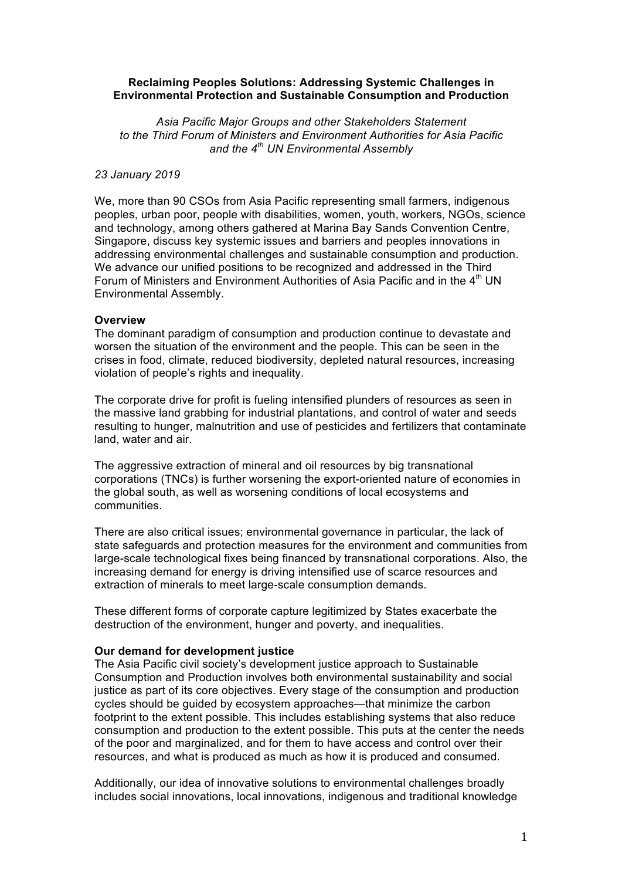### **Reclaiming Peoples Solutions: Addressing Systemic Challenges in Environmental Protection and Sustainable Consumption and Production**

*Asia Pacific Major Groups and other Stakeholders Statement to the Third Forum of Ministers and Environment Authorities for Asia Pacific and the 4th UN Environmental Assembly*

#### *23 January 2019*

We, more than 90 CSOs from Asia Pacific representing small farmers, indigenous peoples, urban poor, people with disabilities, women, youth, workers, NGOs, science and technology, among others gathered at Marina Bay Sands Convention Centre, Singapore, discuss key systemic issues and barriers and peoples innovations in addressing environmental challenges and sustainable consumption and production. We advance our unified positions to be recognized and addressed in the Third Forum of Ministers and Environment Authorities of Asia Pacific and in the 4<sup>th</sup> UN Environmental Assembly.

#### **Overview**

The dominant paradigm of consumption and production continue to devastate and worsen the situation of the environment and the people. This can be seen in the crises in food, climate, reduced biodiversity, depleted natural resources, increasing violation of people's rights and inequality.

The corporate drive for profit is fueling intensified plunders of resources as seen in the massive land grabbing for industrial plantations, and control of water and seeds resulting to hunger, malnutrition and use of pesticides and fertilizers that contaminate land, water and air.

The aggressive extraction of mineral and oil resources by big transnational corporations (TNCs) is further worsening the export-oriented nature of economies in the global south, as well as worsening conditions of local ecosystems and communities.

There are also critical issues; environmental governance in particular, the lack of state safeguards and protection measures for the environment and communities from large-scale technological fixes being financed by transnational corporations. Also, the increasing demand for energy is driving intensified use of scarce resources and extraction of minerals to meet large-scale consumption demands.

These different forms of corporate capture legitimized by States exacerbate the destruction of the environment, hunger and poverty, and inequalities.

### **Our demand for development justice**

The Asia Pacific civil society's development justice approach to Sustainable Consumption and Production involves both environmental sustainability and social justice as part of its core objectives. Every stage of the consumption and production cycles should be guided by ecosystem approaches—that minimize the carbon footprint to the extent possible. This includes establishing systems that also reduce consumption and production to the extent possible. This puts at the center the needs of the poor and marginalized, and for them to have access and control over their resources, and what is produced as much as how it is produced and consumed.

Additionally, our idea of innovative solutions to environmental challenges broadly includes social innovations, local innovations, indigenous and traditional knowledge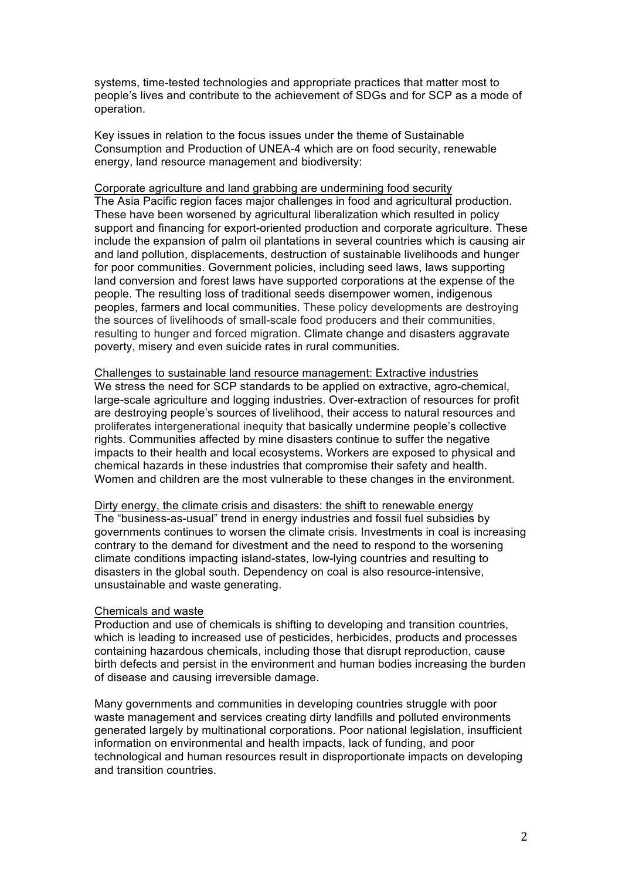systems, time-tested technologies and appropriate practices that matter most to people's lives and contribute to the achievement of SDGs and for SCP as a mode of operation.

Key issues in relation to the focus issues under the theme of Sustainable Consumption and Production of UNEA-4 which are on food security, renewable energy, land resource management and biodiversity:

Corporate agriculture and land grabbing are undermining food security The Asia Pacific region faces major challenges in food and agricultural production. These have been worsened by agricultural liberalization which resulted in policy support and financing for export-oriented production and corporate agriculture. These include the expansion of palm oil plantations in several countries which is causing air and land pollution, displacements, destruction of sustainable livelihoods and hunger for poor communities. Government policies, including seed laws, laws supporting land conversion and forest laws have supported corporations at the expense of the people. The resulting loss of traditional seeds disempower women, indigenous peoples, farmers and local communities. These policy developments are destroying the sources of livelihoods of small-scale food producers and their communities, resulting to hunger and forced migration. Climate change and disasters aggravate poverty, misery and even suicide rates in rural communities.

Challenges to sustainable land resource management: Extractive industries We stress the need for SCP standards to be applied on extractive, agro-chemical, large-scale agriculture and logging industries. Over-extraction of resources for profit are destroying people's sources of livelihood, their access to natural resources and proliferates intergenerational inequity that basically undermine people's collective rights. Communities affected by mine disasters continue to suffer the negative impacts to their health and local ecosystems. Workers are exposed to physical and chemical hazards in these industries that compromise their safety and health. Women and children are the most vulnerable to these changes in the environment.

Dirty energy, the climate crisis and disasters: the shift to renewable energy The "business-as-usual" trend in energy industries and fossil fuel subsidies by governments continues to worsen the climate crisis. Investments in coal is increasing contrary to the demand for divestment and the need to respond to the worsening climate conditions impacting island-states, low-lying countries and resulting to disasters in the global south. Dependency on coal is also resource-intensive, unsustainable and waste generating.

### Chemicals and waste

Production and use of chemicals is shifting to developing and transition countries, which is leading to increased use of pesticides, herbicides, products and processes containing hazardous chemicals, including those that disrupt reproduction, cause birth defects and persist in the environment and human bodies increasing the burden of disease and causing irreversible damage.

Many governments and communities in developing countries struggle with poor waste management and services creating dirty landfills and polluted environments generated largely by multinational corporations. Poor national legislation, insufficient information on environmental and health impacts, lack of funding, and poor technological and human resources result in disproportionate impacts on developing and transition countries.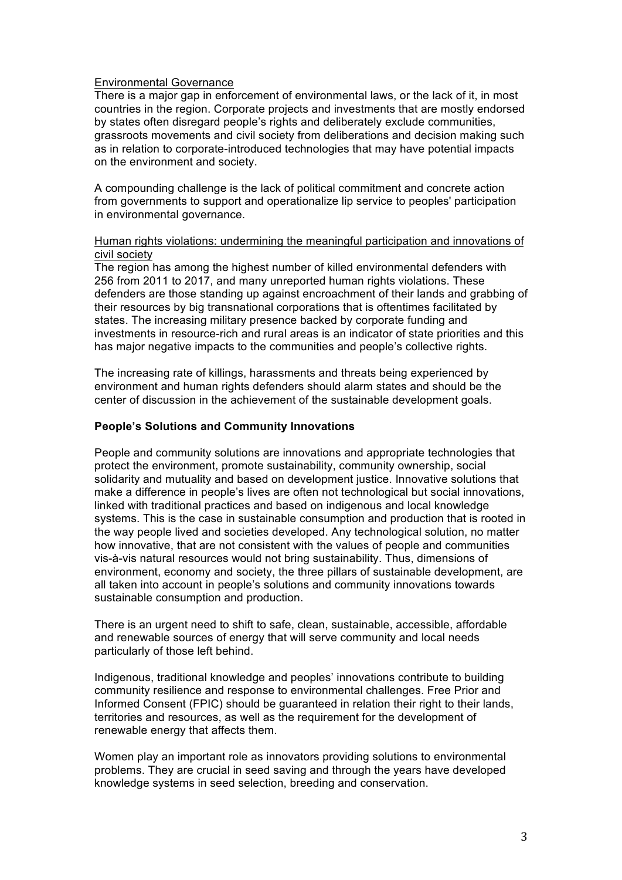### Environmental Governance

There is a major gap in enforcement of environmental laws, or the lack of it, in most countries in the region. Corporate projects and investments that are mostly endorsed by states often disregard people's rights and deliberately exclude communities, grassroots movements and civil society from deliberations and decision making such as in relation to corporate-introduced technologies that may have potential impacts on the environment and society.

A compounding challenge is the lack of political commitment and concrete action from governments to support and operationalize lip service to peoples' participation in environmental governance.

## Human rights violations: undermining the meaningful participation and innovations of civil society

The region has among the highest number of killed environmental defenders with 256 from 2011 to 2017, and many unreported human rights violations. These defenders are those standing up against encroachment of their lands and grabbing of their resources by big transnational corporations that is oftentimes facilitated by states. The increasing military presence backed by corporate funding and investments in resource-rich and rural areas is an indicator of state priorities and this has major negative impacts to the communities and people's collective rights.

The increasing rate of killings, harassments and threats being experienced by environment and human rights defenders should alarm states and should be the center of discussion in the achievement of the sustainable development goals.

## **People's Solutions and Community Innovations**

People and community solutions are innovations and appropriate technologies that protect the environment, promote sustainability, community ownership, social solidarity and mutuality and based on development justice. Innovative solutions that make a difference in people's lives are often not technological but social innovations, linked with traditional practices and based on indigenous and local knowledge systems. This is the case in sustainable consumption and production that is rooted in the way people lived and societies developed. Any technological solution, no matter how innovative, that are not consistent with the values of people and communities vis-à-vis natural resources would not bring sustainability. Thus, dimensions of environment, economy and society, the three pillars of sustainable development, are all taken into account in people's solutions and community innovations towards sustainable consumption and production.

There is an urgent need to shift to safe, clean, sustainable, accessible, affordable and renewable sources of energy that will serve community and local needs particularly of those left behind.

Indigenous, traditional knowledge and peoples' innovations contribute to building community resilience and response to environmental challenges. Free Prior and Informed Consent (FPIC) should be guaranteed in relation their right to their lands, territories and resources, as well as the requirement for the development of renewable energy that affects them.

Women play an important role as innovators providing solutions to environmental problems. They are crucial in seed saving and through the years have developed knowledge systems in seed selection, breeding and conservation.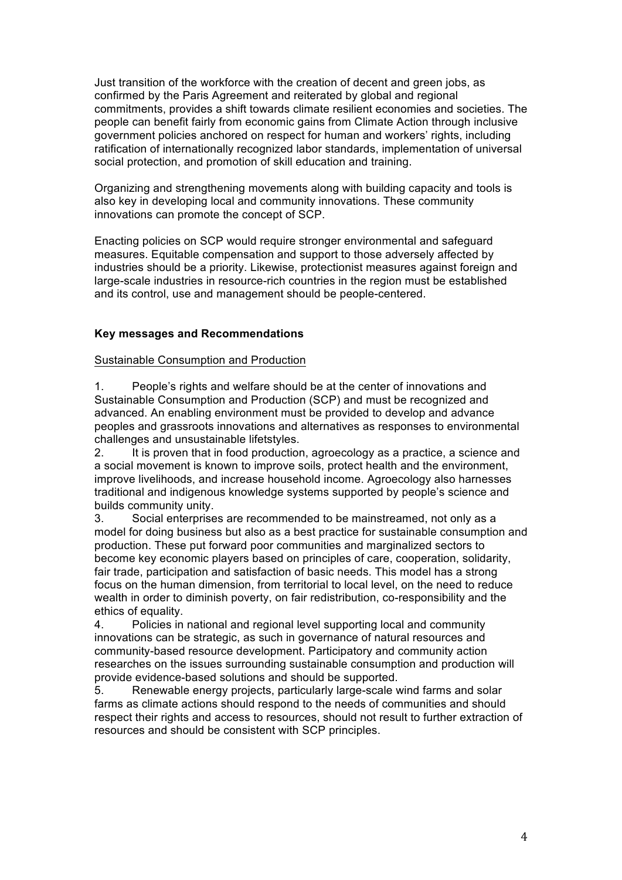Just transition of the workforce with the creation of decent and green jobs, as confirmed by the Paris Agreement and reiterated by global and regional commitments, provides a shift towards climate resilient economies and societies. The people can benefit fairly from economic gains from Climate Action through inclusive government policies anchored on respect for human and workers' rights, including ratification of internationally recognized labor standards, implementation of universal social protection, and promotion of skill education and training.

Organizing and strengthening movements along with building capacity and tools is also key in developing local and community innovations. These community innovations can promote the concept of SCP.

Enacting policies on SCP would require stronger environmental and safeguard measures. Equitable compensation and support to those adversely affected by industries should be a priority. Likewise, protectionist measures against foreign and large-scale industries in resource-rich countries in the region must be established and its control, use and management should be people-centered.

# **Key messages and Recommendations**

### Sustainable Consumption and Production

1. People's rights and welfare should be at the center of innovations and Sustainable Consumption and Production (SCP) and must be recognized and advanced. An enabling environment must be provided to develop and advance peoples and grassroots innovations and alternatives as responses to environmental challenges and unsustainable lifetstyles.

2. It is proven that in food production, agroecology as a practice, a science and a social movement is known to improve soils, protect health and the environment, improve livelihoods, and increase household income. Agroecology also harnesses traditional and indigenous knowledge systems supported by people's science and builds community unity.

3. Social enterprises are recommended to be mainstreamed, not only as a model for doing business but also as a best practice for sustainable consumption and production. These put forward poor communities and marginalized sectors to become key economic players based on principles of care, cooperation, solidarity, fair trade, participation and satisfaction of basic needs. This model has a strong focus on the human dimension, from territorial to local level, on the need to reduce wealth in order to diminish poverty, on fair redistribution, co-responsibility and the ethics of equality.

4. Policies in national and regional level supporting local and community innovations can be strategic, as such in governance of natural resources and community-based resource development. Participatory and community action researches on the issues surrounding sustainable consumption and production will provide evidence-based solutions and should be supported.

5. Renewable energy projects, particularly large-scale wind farms and solar farms as climate actions should respond to the needs of communities and should respect their rights and access to resources, should not result to further extraction of resources and should be consistent with SCP principles.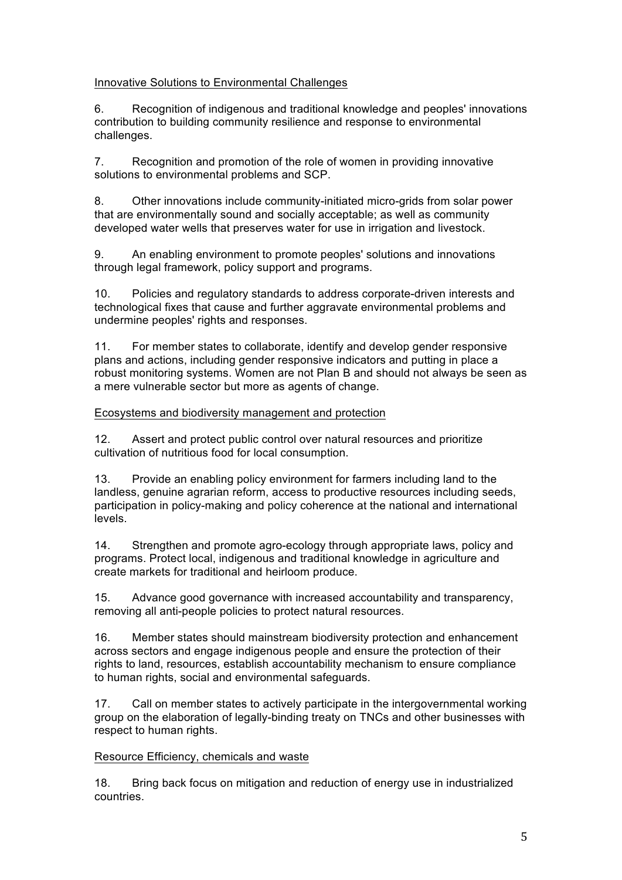# Innovative Solutions to Environmental Challenges

6. Recognition of indigenous and traditional knowledge and peoples' innovations contribution to building community resilience and response to environmental challenges.

7. Recognition and promotion of the role of women in providing innovative solutions to environmental problems and SCP.

8. Other innovations include community-initiated micro-grids from solar power that are environmentally sound and socially acceptable; as well as community developed water wells that preserves water for use in irrigation and livestock.

9. An enabling environment to promote peoples' solutions and innovations through legal framework, policy support and programs.

10. Policies and regulatory standards to address corporate-driven interests and technological fixes that cause and further aggravate environmental problems and undermine peoples' rights and responses.

11. For member states to collaborate, identify and develop gender responsive plans and actions, including gender responsive indicators and putting in place a robust monitoring systems. Women are not Plan B and should not always be seen as a mere vulnerable sector but more as agents of change.

# Ecosystems and biodiversity management and protection

12. Assert and protect public control over natural resources and prioritize cultivation of nutritious food for local consumption.

13. Provide an enabling policy environment for farmers including land to the landless, genuine agrarian reform, access to productive resources including seeds, participation in policy-making and policy coherence at the national and international levels.

14. Strengthen and promote agro-ecology through appropriate laws, policy and programs. Protect local, indigenous and traditional knowledge in agriculture and create markets for traditional and heirloom produce.

15. Advance good governance with increased accountability and transparency, removing all anti-people policies to protect natural resources.

16. Member states should mainstream biodiversity protection and enhancement across sectors and engage indigenous people and ensure the protection of their rights to land, resources, establish accountability mechanism to ensure compliance to human rights, social and environmental safeguards.

17. Call on member states to actively participate in the intergovernmental working group on the elaboration of legally-binding treaty on TNCs and other businesses with respect to human rights.

# Resource Efficiency, chemicals and waste

18. Bring back focus on mitigation and reduction of energy use in industrialized countries.